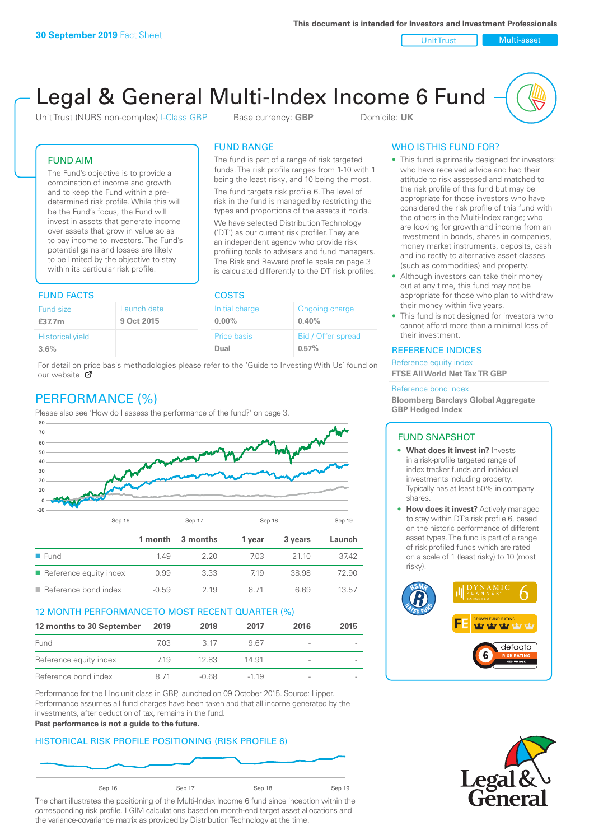Unit Trust Nulti-asset

# Legal & General Multi-Index Income 6 Fund

Unit Trust (NURS non-complex) I-Class GBP Base currency: **GBP** Domicile: UK

The fund is part of a range of risk targeted funds. The risk profile ranges from 1-10 with 1 being the least risky, and 10 being the most. The fund targets risk profile 6. The level of risk in the fund is managed by restricting the types and proportions of the assets it holds. We have selected Distribution Technology ('DT') as our current risk profiler. They are an independent agency who provide risk profiling tools to advisers and fund managers. The Risk and Reward profile scale on page 3 is calculated differently to the DT risk profiles.

FUND RANGE

## FUND AIM

The Fund's objective is to provide a combination of income and growth and to keep the Fund within a predetermined risk profile. While this will be the Fund's focus, the Fund will invest in assets that generate income over assets that grow in value so as to pay income to investors. The Fund's potential gains and losses are likely to be limited by the objective to stay within its particular risk profile.

## FUND FACTS COSTS

| <b>Fund size</b>        | Launch date | Initial charge | Ongoing charge     |  |  |
|-------------------------|-------------|----------------|--------------------|--|--|
| £37.7m                  | 9 Oct 2015  | $0.00\%$       | 0.40%              |  |  |
| <b>Historical yield</b> |             | Price basis    | Bid / Offer spread |  |  |
| 3.6%                    |             | Dual           | 0.57%              |  |  |

For detail on price basis methodologies please refer to the 'Guide to Investing With Us' found on our website. Ø

# PERFORMANCE (%)

Please also see 'How do I assess the performance of the fund?' on page 3.



### 12 MONTH PERFORMANCE TO MOST RECENT QUARTER (%)

| 12 months to 30 September | 2019 | 2018  | 2017   | 2016                     | 2015 |
|---------------------------|------|-------|--------|--------------------------|------|
| Fund                      | 703. | 3.17  | 967    |                          |      |
| Reference equity index    | 7.19 | 12.83 | 14.91  | -                        |      |
| Reference bond index      | 8.71 | -0.68 | $-119$ | $\overline{\phantom{a}}$ |      |

Performance for the I Inc unit class in GBP, launched on 09 October 2015. Source: Lipper. Performance assumes all fund charges have been taken and that all income generated by the investments, after deduction of tax, remains in the fund.

#### **Past performance is not a guide to the future.**

## HISTORICAL RISK PROFILE POSITIONING (RISK PROFILE 6)



The chart illustrates the positioning of the Multi-Index Income 6 fund since inception within the corresponding risk profile. LGIM calculations based on month-end target asset allocations and the variance-covariance matrix as provided by Distribution Technology at the time.

## WHO IS THIS FUND FOR?

- This fund is primarily designed for investors: who have received advice and had their attitude to risk assessed and matched to the risk profile of this fund but may be appropriate for those investors who have considered the risk profile of this fund with the others in the Multi-Index range; who are looking for growth and income from an investment in bonds, shares in companies, money market instruments, deposits, cash and indirectly to alternative asset classes (such as commodities) and property.
- Although investors can take their money out at any time, this fund may not be appropriate for those who plan to withdraw their money within five years.
- This fund is not designed for investors who cannot afford more than a minimal loss of their investment.

### REFERENCE INDICES

Reference equity index **FTSE All World Net Tax TR GBP**

#### Reference bond index

**Bloomberg Barclays Global Aggregate GBP Hedged Index**

### FUND SNAPSHOT

- **• What does it invest in?** Invests in a risk-profile targeted range of index tracker funds and individual investments including property. Typically has at least 50% in company shares.
- **• How does it invest?** Actively managed to stay within DT's risk profile 6, based on the historic performance of different asset types. The fund is part of a range of risk profiled funds which are rated on a scale of 1 (least risky) to 10 (most risky).



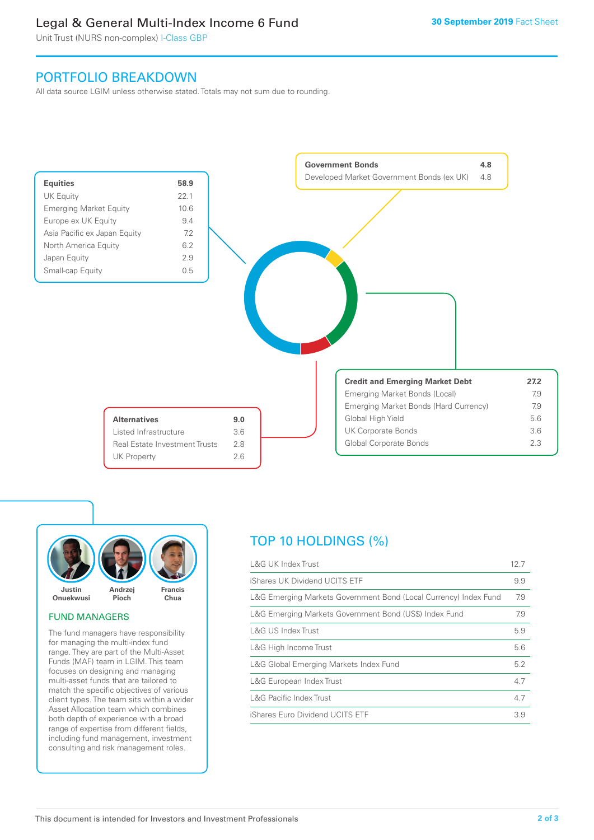# Legal & General Multi-Index Income 6 Fund

Unit Trust (NURS non-complex) I-Class GBP

# PORTFOLIO BREAKDOWN

All data source LGIM unless otherwise stated. Totals may not sum due to rounding.





### FUND MANAGERS

The fund managers have responsibility for managing the multi-index fund range. They are part of the Multi-Asset Funds (MAF) team in LGIM. This team focuses on designing and managing multi-asset funds that are tailored to match the specific objectives of various client types. The team sits within a wider Asset Allocation team which combines both depth of experience with a broad range of expertise from different fields, including fund management, investment consulting and risk management roles.

# TOP 10 HOLDINGS (%)

| <b>L&amp;G UK Index Trust</b>                                    | 12.7 |
|------------------------------------------------------------------|------|
| iShares UK Dividend UCITS ETF                                    | 9.9  |
| L&G Emerging Markets Government Bond (Local Currency) Index Fund | 7.9  |
| L&G Emerging Markets Government Bond (US\$) Index Fund           | 7.9  |
| L&G US Index Trust                                               | 5.9  |
| L&G High Income Trust                                            | 5.6  |
| L&G Global Emerging Markets Index Fund                           | 5.2  |
| L&G European Index Trust                                         | 4.7  |
| <b>L&amp;G Pacific Index Trust</b>                               | 4.7  |
| iShares Euro Dividend UCITS ETF                                  | 3.9  |